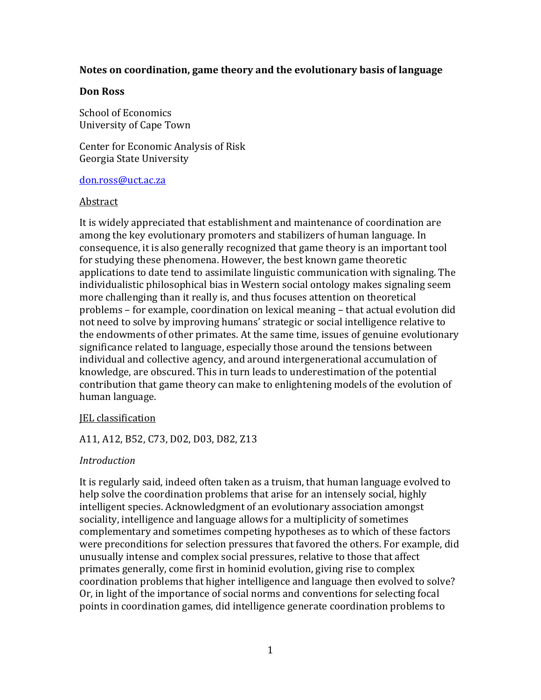## **Notes on coordination, game theory and the evolutionary basis of language**

### **Don Ross**

School of Economics University of Cape Town

Center for Economic Analysis of Risk Georgia State University

#### don.ross@uct.ac.za

## Abstract

It is widely appreciated that establishment and maintenance of coordination are among the key evolutionary promoters and stabilizers of human language. In consequence, it is also generally recognized that game theory is an important tool for studying these phenomena. However, the best known game theoretic applications to date tend to assimilate linguistic communication with signaling. The individualistic philosophical bias in Western social ontology makes signaling seem more challenging than it really is, and thus focuses attention on theoretical problems – for example, coordination on lexical meaning – that actual evolution did not need to solve by improving humans' strategic or social intelligence relative to the endowments of other primates. At the same time, issues of genuine evolutionary significance related to language, especially those around the tensions between individual and collective agency, and around intergenerational accumulation of knowledge, are obscured. This in turn leads to underestimation of the potential contribution that game theory can make to enlightening models of the evolution of human language.

# JEL classification

# A11, A12, B52, C73, D02, D03, D82, Z13

### *Introduction*

It is regularly said, indeed often taken as a truism, that human language evolved to help solve the coordination problems that arise for an intensely social, highly intelligent species. Acknowledgment of an evolutionary association amongst sociality, intelligence and language allows for a multiplicity of sometimes complementary and sometimes competing hypotheses as to which of these factors were preconditions for selection pressures that favored the others. For example, did unusually intense and complex social pressures, relative to those that affect primates generally, come first in hominid evolution, giving rise to complex coordination problems that higher intelligence and language then evolved to solve? Or, in light of the importance of social norms and conventions for selecting focal points in coordination games, did intelligence generate coordination problems to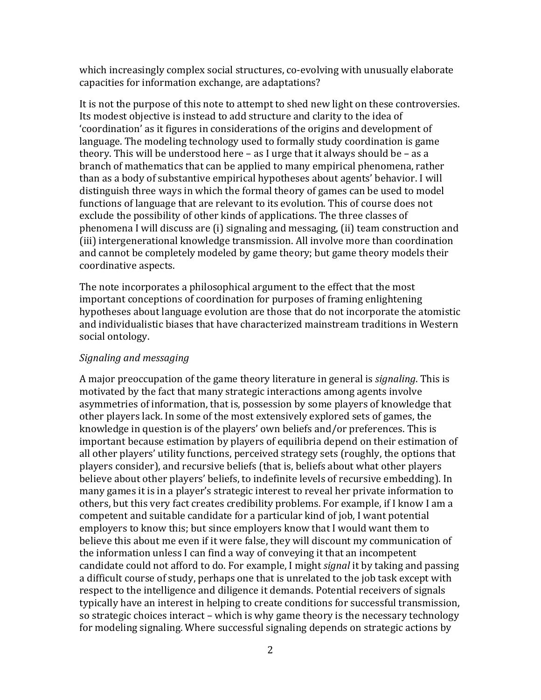which increasingly complex social structures, co-evolving with unusually elaborate capacities for information exchange, are adaptations?

It is not the purpose of this note to attempt to shed new light on these controversies. Its modest objective is instead to add structure and clarity to the idea of 'coordination' as it figures in considerations of the origins and development of language. The modeling technology used to formally study coordination is game theory. This will be understood here – as I urge that it always should be – as a branch of mathematics that can be applied to many empirical phenomena, rather than as a body of substantive empirical hypotheses about agents' behavior. I will distinguish three ways in which the formal theory of games can be used to model functions of language that are relevant to its evolution. This of course does not exclude the possibility of other kinds of applications. The three classes of phenomena I will discuss are (i) signaling and messaging, (ii) team construction and (iii) intergenerational knowledge transmission. All involve more than coordination and cannot be completely modeled by game theory; but game theory models their coordinative aspects.

The note incorporates a philosophical argument to the effect that the most important conceptions of coordination for purposes of framing enlightening hypotheses about language evolution are those that do not incorporate the atomistic and individualistic biases that have characterized mainstream traditions in Western social ontology.

# *Signaling and messaging*

A major preoccupation of the game theory literature in general is *signaling*. This is motivated by the fact that many strategic interactions among agents involve asymmetries of information, that is, possession by some players of knowledge that other players lack. In some of the most extensively explored sets of games, the knowledge in question is of the players' own beliefs and/or preferences. This is important because estimation by players of equilibria depend on their estimation of all other players' utility functions, perceived strategy sets (roughly, the options that players consider), and recursive beliefs (that is, beliefs about what other players believe about other players' beliefs, to indefinite levels of recursive embedding). In many games it is in a player's strategic interest to reveal her private information to others, but this very fact creates credibility problems. For example, if I know I am a competent and suitable candidate for a particular kind of job, I want potential employers to know this; but since employers know that I would want them to believe this about me even if it were false, they will discount my communication of the information unless I can find a way of conveying it that an incompetent candidate could not afford to do. For example, I might *signal* it by taking and passing a difficult course of study, perhaps one that is unrelated to the job task except with respect to the intelligence and diligence it demands. Potential receivers of signals typically have an interest in helping to create conditions for successful transmission, so strategic choices interact – which is why game theory is the necessary technology for modeling signaling. Where successful signaling depends on strategic actions by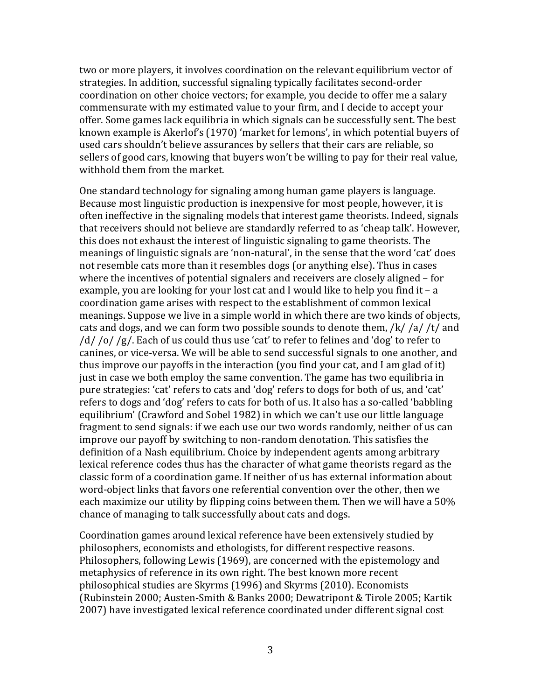two or more players, it involves coordination on the relevant equilibrium vector of strategies. In addition, successful signaling typically facilitates second‐order coordination on other choice vectors; for example, you decide to offer me a salary commensurate with my estimated value to your firm, and I decide to accept your offer. Some games lack equilibria in which signals can be successfully sent. The best known example is Akerlof's (1970) 'market for lemons', in which potential buyers of used cars shouldn't believe assurances by sellers that their cars are reliable, so sellers of good cars, knowing that buyers won't be willing to pay for their real value, withhold them from the market.

One standard technology for signaling among human game players is language. Because most linguistic production is inexpensive for most people, however, it is often ineffective in the signaling models that interest game theorists. Indeed, signals that receivers should not believe are standardly referred to as 'cheap talk'. However, this does not exhaust the interest of linguistic signaling to game theorists. The meanings of linguistic signals are 'non‐natural', in the sense that the word 'cat' does not resemble cats more than it resembles dogs (or anything else). Thus in cases where the incentives of potential signalers and receivers are closely aligned – for example, you are looking for your lost cat and I would like to help you find it – a coordination game arises with respect to the establishment of common lexical meanings. Suppose we live in a simple world in which there are two kinds of objects, cats and dogs, and we can form two possible sounds to denote them, /k/ /a/ /t/ and /d/ /o/ /g/. Each of us could thus use 'cat' to refer to felines and 'dog' to refer to canines, or vice‐versa. We will be able to send successful signals to one another, and thus improve our payoffs in the interaction (you find your cat, and I am glad of it) just in case we both employ the same convention. The game has two equilibria in pure strategies: 'cat' refers to cats and 'dog' refers to dogs for both of us, and 'cat' refers to dogs and 'dog' refers to cats for both of us. It also has a so-called 'babbling equilibrium' (Crawford and Sobel 1982) in which we can't use our little language fragment to send signals: if we each use our two words randomly, neither of us can improve our payoff by switching to non‐random denotation. This satisfies the definition of a Nash equilibrium. Choice by independent agents among arbitrary lexical reference codes thus has the character of what game theorists regard as the classic form of a coordination game. If neither of us has external information about word‐object links that favors one referential convention over the other, then we each maximize our utility by flipping coins between them. Then we will have a 50% chance of managing to talk successfully about cats and dogs.

Coordination games around lexical reference have been extensively studied by philosophers, economists and ethologists, for different respective reasons. Philosophers, following Lewis (1969), are concerned with the epistemology and metaphysics of reference in its own right. The best known more recent philosophical studies are Skyrms (1996) and Skyrms (2010). Economists (Rubinstein 2000; Austen‐Smith & Banks 2000; Dewatripont & Tirole 2005; Kartik 2007) have investigated lexical reference coordinated under different signal cost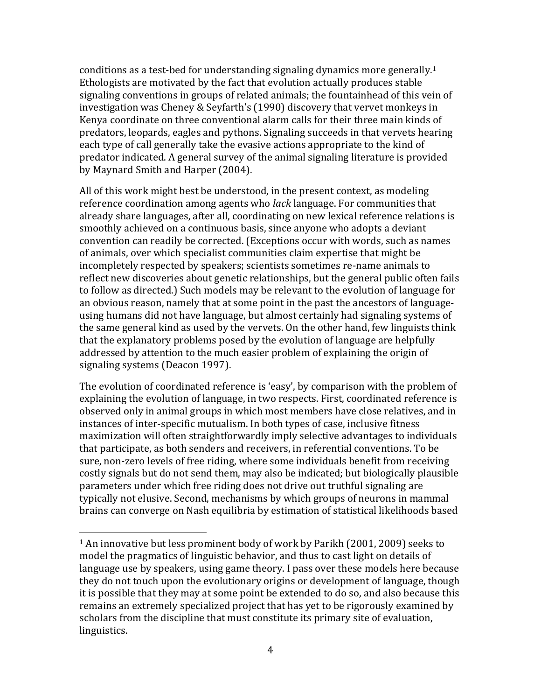conditions as a test‐bed for understanding signaling dynamics more generally.1 Ethologists are motivated by the fact that evolution actually produces stable signaling conventions in groups of related animals; the fountainhead of this vein of investigation was Cheney & Seyfarth's (1990) discovery that vervet monkeys in Kenya coordinate on three conventional alarm calls for their three main kinds of predators, leopards, eagles and pythons. Signaling succeeds in that vervets hearing each type of call generally take the evasive actions appropriate to the kind of predator indicated. A general survey of the animal signaling literature is provided by Maynard Smith and Harper (2004).

All of this work might best be understood, in the present context, as modeling reference coordination among agents who *lack* language. For communities that already share languages, after all, coordinating on new lexical reference relations is smoothly achieved on a continuous basis, since anyone who adopts a deviant convention can readily be corrected. (Exceptions occur with words, such as names of animals, over which specialist communities claim expertise that might be incompletely respected by speakers; scientists sometimes re‐name animals to reflect new discoveries about genetic relationships, but the general public often fails to follow as directed.) Such models may be relevant to the evolution of language for an obvious reason, namely that at some point in the past the ancestors of language‐ using humans did not have language, but almost certainly had signaling systems of the same general kind as used by the vervets. On the other hand, few linguists think that the explanatory problems posed by the evolution of language are helpfully addressed by attention to the much easier problem of explaining the origin of signaling systems (Deacon 1997).

The evolution of coordinated reference is 'easy', by comparison with the problem of explaining the evolution of language, in two respects. First, coordinated reference is observed only in animal groups in which most members have close relatives, and in instances of inter‐specific mutualism. In both types of case, inclusive fitness maximization will often straightforwardly imply selective advantages to individuals that participate, as both senders and receivers, in referential conventions. To be sure, non-zero levels of free riding, where some individuals benefit from receiving costly signals but do not send them, may also be indicated; but biologically plausible parameters under which free riding does not drive out truthful signaling are typically not elusive. Second, mechanisms by which groups of neurons in mammal brains can converge on Nash equilibria by estimation of statistical likelihoods based

<sup>1</sup> An innovative but less prominent body of work by Parikh (2001, 2009) seeks to model the pragmatics of linguistic behavior, and thus to cast light on details of language use by speakers, using game theory. I pass over these models here because they do not touch upon the evolutionary origins or development of language, though it is possible that they may at some point be extended to do so, and also because this remains an extremely specialized project that has yet to be rigorously examined by scholars from the discipline that must constitute its primary site of evaluation, linguistics.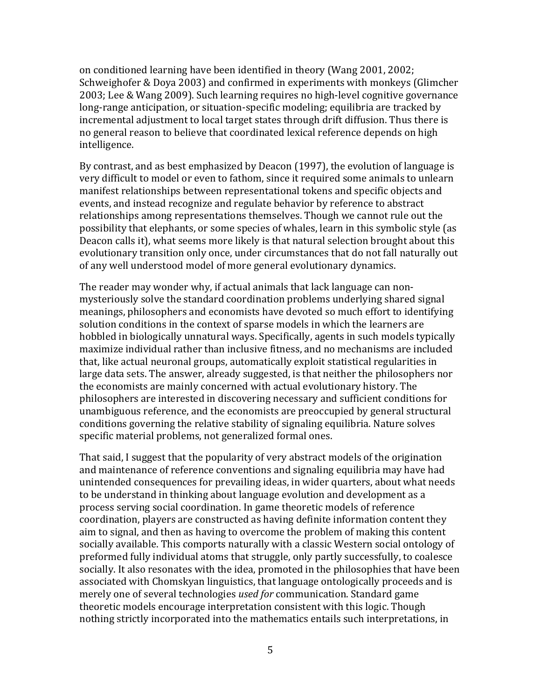on conditioned learning have been identified in theory (Wang 2001, 2002; Schweighofer & Doya 2003) and confirmed in experiments with monkeys (Glimcher 2003; Lee & Wang 2009). Such learning requires no high‐level cognitive governance long‐range anticipation, or situation‐specific modeling; equilibria are tracked by incremental adjustment to local target states through drift diffusion. Thus there is no general reason to believe that coordinated lexical reference depends on high intelligence.

By contrast, and as best emphasized by Deacon (1997), the evolution of language is very difficult to model or even to fathom, since it required some animals to unlearn manifest relationships between representational tokens and specific objects and events, and instead recognize and regulate behavior by reference to abstract relationships among representations themselves. Though we cannot rule out the possibility that elephants, or some species of whales, learn in this symbolic style (as Deacon calls it), what seems more likely is that natural selection brought about this evolutionary transition only once, under circumstances that do not fall naturally out of any well understood model of more general evolutionary dynamics.

The reader may wonder why, if actual animals that lack language can non‐ mysteriously solve the standard coordination problems underlying shared signal meanings, philosophers and economists have devoted so much effort to identifying solution conditions in the context of sparse models in which the learners are hobbled in biologically unnatural ways. Specifically, agents in such models typically maximize individual rather than inclusive fitness, and no mechanisms are included that, like actual neuronal groups, automatically exploit statistical regularities in large data sets. The answer, already suggested, is that neither the philosophers nor the economists are mainly concerned with actual evolutionary history. The philosophers are interested in discovering necessary and sufficient conditions for unambiguous reference, and the economists are preoccupied by general structural conditions governing the relative stability of signaling equilibria. Nature solves specific material problems, not generalized formal ones.

That said, I suggest that the popularity of very abstract models of the origination and maintenance of reference conventions and signaling equilibria may have had unintended consequences for prevailing ideas, in wider quarters, about what needs to be understand in thinking about language evolution and development as a process serving social coordination. In game theoretic models of reference coordination, players are constructed as having definite information content they aim to signal, and then as having to overcome the problem of making this content socially available. This comports naturally with a classic Western social ontology of preformed fully individual atoms that struggle, only partly successfully, to coalesce socially. It also resonates with the idea, promoted in the philosophies that have been associated with Chomskyan linguistics, that language ontologically proceeds and is merely one of several technologies *used for* communication. Standard game theoretic models encourage interpretation consistent with this logic. Though nothing strictly incorporated into the mathematics entails such interpretations, in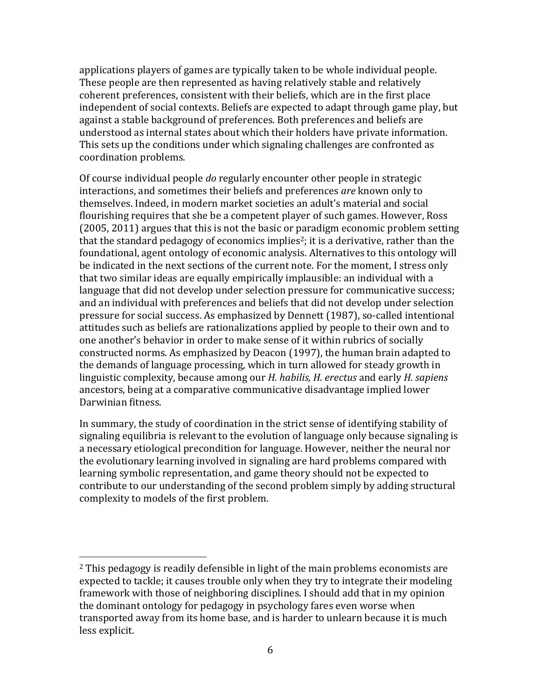applications players of games are typically taken to be whole individual people. These people are then represented as having relatively stable and relatively coherent preferences, consistent with their beliefs, which are in the first place independent of social contexts. Beliefs are expected to adapt through game play, but against a stable background of preferences. Both preferences and beliefs are understood as internal states about which their holders have private information. This sets up the conditions under which signaling challenges are confronted as coordination problems.

Of course individual people *do* regularly encounter other people in strategic interactions, and sometimes their beliefs and preferences *are* known only to themselves. Indeed, in modern market societies an adult's material and social flourishing requires that she be a competent player of such games. However, Ross (2005, 2011) argues that this is not the basic or paradigm economic problem setting that the standard pedagogy of economics implies<sup>2</sup>; it is a derivative, rather than the foundational, agent ontology of economic analysis. Alternatives to this ontology will be indicated in the next sections of the current note. For the moment, I stress only that two similar ideas are equally empirically implausible: an individual with a language that did not develop under selection pressure for communicative success; and an individual with preferences and beliefs that did not develop under selection pressure for social success. As emphasized by Dennett (1987), so‐called intentional attitudes such as beliefs are rationalizations applied by people to their own and to one another's behavior in order to make sense of it within rubrics of socially constructed norms. As emphasized by Deacon (1997), the human brain adapted to the demands of language processing, which in turn allowed for steady growth in linguistic complexity, because among our *H. habilis, H. erectus* and early *H. sapiens* ancestors, being at a comparative communicative disadvantage implied lower Darwinian fitness.

In summary, the study of coordination in the strict sense of identifying stability of signaling equilibria is relevant to the evolution of language only because signaling is a necessary etiological precondition for language. However, neither the neural nor the evolutionary learning involved in signaling are hard problems compared with learning symbolic representation, and game theory should not be expected to contribute to our understanding of the second problem simply by adding structural complexity to models of the first problem.

<sup>&</sup>lt;sup>2</sup> This pedagogy is readily defensible in light of the main problems economists are expected to tackle; it causes trouble only when they try to integrate their modeling framework with those of neighboring disciplines. I should add that in my opinion the dominant ontology for pedagogy in psychology fares even worse when transported away from its home base, and is harder to unlearn because it is much less explicit.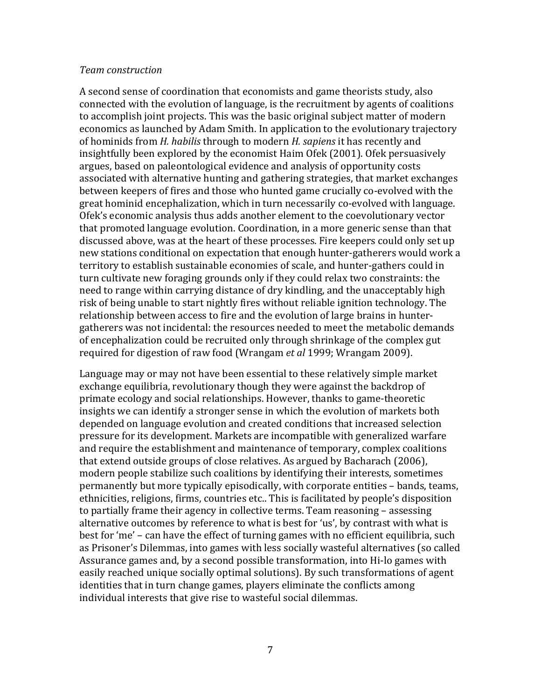#### *Team construction*

A second sense of coordination that economists and game theorists study, also connected with the evolution of language, is the recruitment by agents of coalitions to accomplish joint projects. This was the basic original subject matter of modern economics as launched by Adam Smith. In application to the evolutionary trajectory of hominids from *H. habilis* through to modern *H. sapiens* it has recently and insightfully been explored by the economist Haim Ofek (2001). Ofek persuasively argues, based on paleontological evidence and analysis of opportunity costs associated with alternative hunting and gathering strategies, that market exchanges between keepers of fires and those who hunted game crucially co-evolved with the great hominid encephalization, which in turn necessarily co‐evolved with language. Ofek's economic analysis thus adds another element to the coevolutionary vector that promoted language evolution. Coordination, in a more generic sense than that discussed above, was at the heart of these processes. Fire keepers could only set up new stations conditional on expectation that enough hunter‐gatherers would work a territory to establish sustainable economies of scale, and hunter‐gathers could in turn cultivate new foraging grounds only if they could relax two constraints: the need to range within carrying distance of dry kindling, and the unacceptably high risk of being unable to start nightly fires without reliable ignition technology. The relationship between access to fire and the evolution of large brains in hunter‐ gatherers was not incidental: the resources needed to meet the metabolic demands of encephalization could be recruited only through shrinkage of the complex gut required for digestion of raw food (Wrangam *et al* 1999; Wrangam 2009).

Language may or may not have been essential to these relatively simple market exchange equilibria, revolutionary though they were against the backdrop of primate ecology and social relationships. However, thanks to game‐theoretic insights we can identify a stronger sense in which the evolution of markets both depended on language evolution and created conditions that increased selection pressure for its development. Markets are incompatible with generalized warfare and require the establishment and maintenance of temporary, complex coalitions that extend outside groups of close relatives. As argued by Bacharach (2006), modern people stabilize such coalitions by identifying their interests, sometimes permanently but more typically episodically, with corporate entities – bands, teams, ethnicities, religions, firms, countries etc.. This is facilitated by people's disposition to partially frame their agency in collective terms. Team reasoning – assessing alternative outcomes by reference to what is best for 'us', by contrast with what is best for 'me' – can have the effect of turning games with no efficient equilibria, such as Prisoner's Dilemmas, into games with less socially wasteful alternatives (so called Assurance games and, by a second possible transformation, into Hi‐lo games with easily reached unique socially optimal solutions). By such transformations of agent identities that in turn change games, players eliminate the conflicts among individual interests that give rise to wasteful social dilemmas.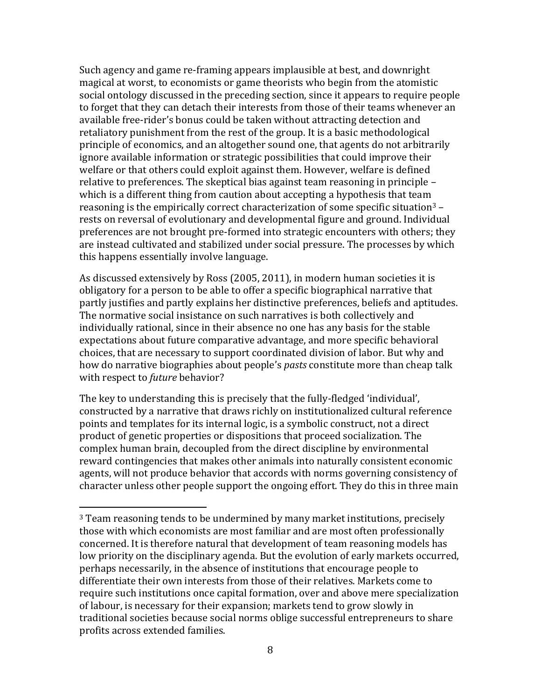Such agency and game re‐framing appears implausible at best, and downright magical at worst, to economists or game theorists who begin from the atomistic social ontology discussed in the preceding section, since it appears to require people to forget that they can detach their interests from those of their teams whenever an available free‐rider's bonus could be taken without attracting detection and retaliatory punishment from the rest of the group. It is a basic methodological principle of economics, and an altogether sound one, that agents do not arbitrarily ignore available information or strategic possibilities that could improve their welfare or that others could exploit against them. However, welfare is defined relative to preferences. The skeptical bias against team reasoning in principle – which is a different thing from caution about accepting a hypothesis that team reasoning is the empirically correct characterization of some specific situation<sup>3</sup>  $$ rests on reversal of evolutionary and developmental figure and ground. Individual preferences are not brought pre‐formed into strategic encounters with others; they are instead cultivated and stabilized under social pressure. The processes by which this happens essentially involve language.

As discussed extensively by Ross (2005, 2011), in modern human societies it is obligatory for a person to be able to offer a specific biographical narrative that partly justifies and partly explains her distinctive preferences, beliefs and aptitudes. The normative social insistance on such narratives is both collectively and individually rational, since in their absence no one has any basis for the stable expectations about future comparative advantage, and more specific behavioral choices, that are necessary to support coordinated division of labor. But why and how do narrative biographies about people's *pasts* constitute more than cheap talk with respect to *future* behavior?

The key to understanding this is precisely that the fully-fledged 'individual'. constructed by a narrative that draws richly on institutionalized cultural reference points and templates for its internal logic, is a symbolic construct, not a direct product of genetic properties or dispositions that proceed socialization. The complex human brain, decoupled from the direct discipline by environmental reward contingencies that makes other animals into naturally consistent economic agents, will not produce behavior that accords with norms governing consistency of character unless other people support the ongoing effort. They do this in three main

<sup>&</sup>lt;sup>3</sup> Team reasoning tends to be undermined by many market institutions, precisely those with which economists are most familiar and are most often professionally concerned. It is therefore natural that development of team reasoning models has low priority on the disciplinary agenda. But the evolution of early markets occurred, perhaps necessarily, in the absence of institutions that encourage people to differentiate their own interests from those of their relatives. Markets come to require such institutions once capital formation, over and above mere specialization of labour, is necessary for their expansion; markets tend to grow slowly in traditional societies because social norms oblige successful entrepreneurs to share profits across extended families.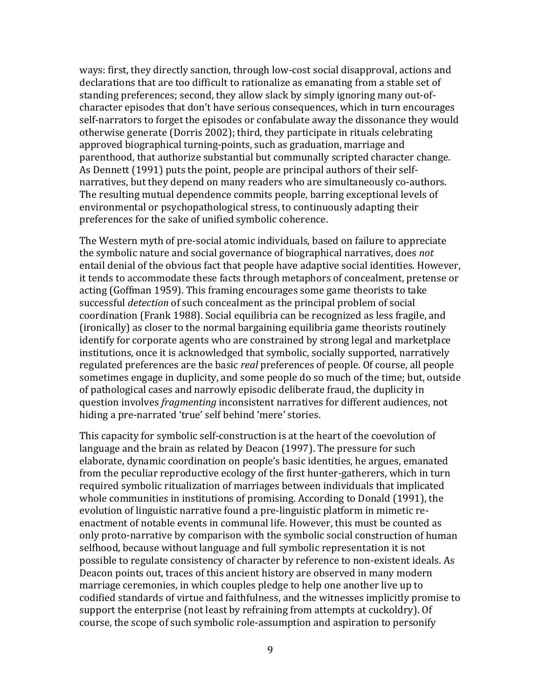ways: first, they directly sanction, through low‐cost social disapproval, actions and declarations that are too difficult to rationalize as emanating from a stable set of standing preferences; second, they allow slack by simply ignoring many out‐of‐ character episodes that don't have serious consequences, which in turn encourages self‐narrators to forget the episodes or confabulate away the dissonance they would otherwise generate (Dorris 2002); third, they participate in rituals celebrating approved biographical turning‐points, such as graduation, marriage and parenthood, that authorize substantial but communally scripted character change. As Dennett (1991) puts the point, people are principal authors of their self‐ narratives, but they depend on many readers who are simultaneously co-authors. The resulting mutual dependence commits people, barring exceptional levels of environmental or psychopathological stress, to continuously adapting their preferences for the sake of unified symbolic coherence.

The Western myth of pre‐social atomic individuals, based on failure to appreciate the symbolic nature and social governance of biographical narratives, does *not* entail denial of the obvious fact that people have adaptive social identities. However, it tends to accommodate these facts through metaphors of concealment, pretense or acting (Goffman 1959). This framing encourages some game theorists to take successful *detection* of such concealment as the principal problem of social coordination (Frank 1988). Social equilibria can be recognized as less fragile, and (ironically) as closer to the normal bargaining equilibria game theorists routinely identify for corporate agents who are constrained by strong legal and marketplace institutions, once it is acknowledged that symbolic, socially supported, narratively regulated preferences are the basic *real* preferences of people. Of course, all people sometimes engage in duplicity, and some people do so much of the time; but, outside of pathological cases and narrowly episodic deliberate fraud, the duplicity in question involves *fragmenting* inconsistent narratives for different audiences, not hiding a pre‐narrated 'true' self behind 'mere' stories.

This capacity for symbolic self-construction is at the heart of the coevolution of language and the brain as related by Deacon (1997). The pressure for such elaborate, dynamic coordination on people's basic identities, he argues, emanated from the peculiar reproductive ecology of the first hunter‐gatherers, which in turn required symbolic ritualization of marriages between individuals that implicated whole communities in institutions of promising. According to Donald (1991), the evolution of linguistic narrative found a pre‐linguistic platform in mimetic re‐ enactment of notable events in communal life. However, this must be counted as only proto‐narrative by comparison with the symbolic social construction of human selfhood, because without language and full symbolic representation it is not possible to regulate consistency of character by reference to non‐existent ideals. As Deacon points out, traces of this ancient history are observed in many modern marriage ceremonies, in which couples pledge to help one another live up to codified standards of virtue and faithfulness, and the witnesses implicitly promise to support the enterprise (not least by refraining from attempts at cuckoldry). Of course, the scope of such symbolic role‐assumption and aspiration to personify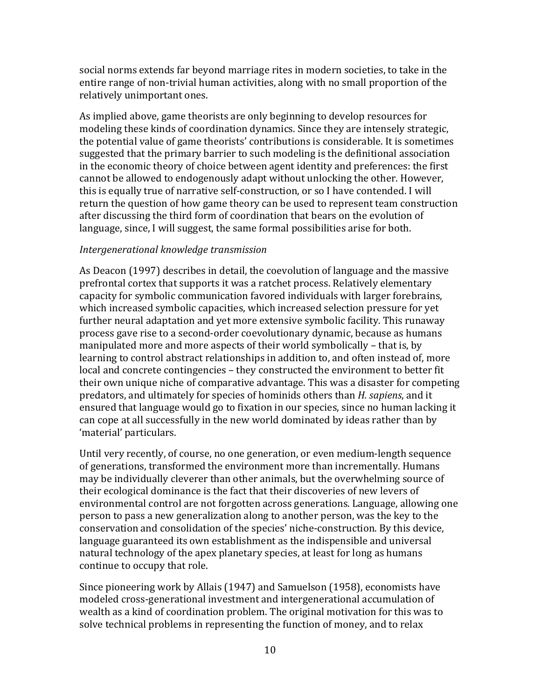social norms extends far beyond marriage rites in modern societies, to take in the entire range of non-trivial human activities, along with no small proportion of the relatively unimportant ones.

As implied above, game theorists are only beginning to develop resources for modeling these kinds of coordination dynamics. Since they are intensely strategic, the potential value of game theorists' contributions is considerable. It is sometimes suggested that the primary barrier to such modeling is the definitional association in the economic theory of choice between agent identity and preferences: the first cannot be allowed to endogenously adapt without unlocking the other. However, this is equally true of narrative self‐construction, or so I have contended. I will return the question of how game theory can be used to represent team construction after discussing the third form of coordination that bears on the evolution of language, since, I will suggest, the same formal possibilities arise for both.

## *Intergenerational knowledge transmission*

As Deacon (1997) describes in detail, the coevolution of language and the massive prefrontal cortex that supports it was a ratchet process. Relatively elementary capacity for symbolic communication favored individuals with larger forebrains, which increased symbolic capacities, which increased selection pressure for yet further neural adaptation and yet more extensive symbolic facility. This runaway process gave rise to a second‐order coevolutionary dynamic, because as humans manipulated more and more aspects of their world symbolically – that is, by learning to control abstract relationships in addition to, and often instead of, more local and concrete contingencies – they constructed the environment to better fit their own unique niche of comparative advantage. This was a disaster for competing predators, and ultimately for species of hominids others than *H. sapiens*, and it ensured that language would go to fixation in our species, since no human lacking it can cope at all successfully in the new world dominated by ideas rather than by 'material' particulars.

Until very recently, of course, no one generation, or even medium‐length sequence of generations, transformed the environment more than incrementally. Humans may be individually cleverer than other animals, but the overwhelming source of their ecological dominance is the fact that their discoveries of new levers of environmental control are not forgotten across generations. Language, allowing one person to pass a new generalization along to another person, was the key to the conservation and consolidation of the species' niche‐construction. By this device, language guaranteed its own establishment as the indispensible and universal natural technology of the apex planetary species, at least for long as humans continue to occupy that role.

Since pioneering work by Allais (1947) and Samuelson (1958), economists have modeled cross‐generational investment and intergenerational accumulation of wealth as a kind of coordination problem. The original motivation for this was to solve technical problems in representing the function of money, and to relax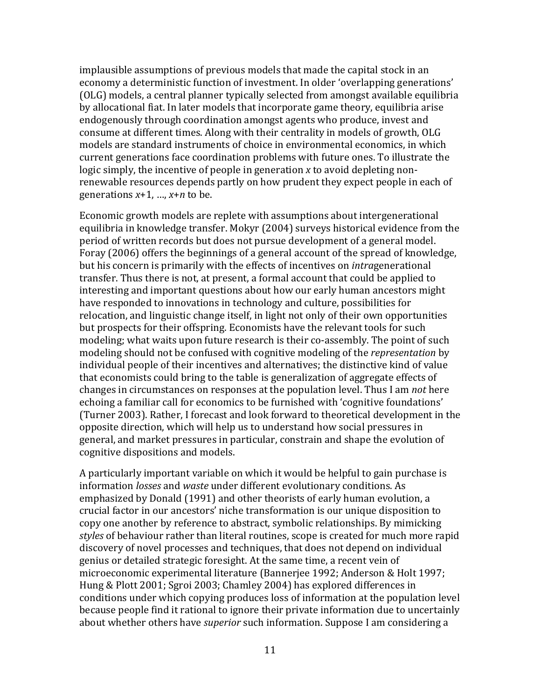implausible assumptions of previous models that made the capital stock in an economy a deterministic function of investment. In older 'overlapping generations' (OLG) models, a central planner typically selected from amongst available equilibria by allocational fiat. In later models that incorporate game theory, equilibria arise endogenously through coordination amongst agents who produce, invest and consume at different times. Along with their centrality in models of growth, OLG models are standard instruments of choice in environmental economics, in which current generations face coordination problems with future ones. To illustrate the logic simply, the incentive of people in generation *x* to avoid depleting non‐ renewable resources depends partly on how prudent they expect people in each of generations *x*+1, …, *x*+*n* to be.

Economic growth models are replete with assumptions about intergenerational equilibria in knowledge transfer. Mokyr (2004) surveys historical evidence from the period of written records but does not pursue development of a general model. Foray (2006) offers the beginnings of a general account of the spread of knowledge, but his concern is primarily with the effects of incentives on *intra*generational transfer. Thus there is not, at present, a formal account that could be applied to interesting and important questions about how our early human ancestors might have responded to innovations in technology and culture, possibilities for relocation, and linguistic change itself, in light not only of their own opportunities but prospects for their offspring. Economists have the relevant tools for such modeling; what waits upon future research is their co-assembly. The point of such modeling should not be confused with cognitive modeling of the *representation* by individual people of their incentives and alternatives; the distinctive kind of value that economists could bring to the table is generalization of aggregate effects of changes in circumstances on responses at the population level. Thus I am *not* here echoing a familiar call for economics to be furnished with 'cognitive foundations' (Turner 2003). Rather, I forecast and look forward to theoretical development in the opposite direction, which will help us to understand how social pressures in general, and market pressures in particular, constrain and shape the evolution of cognitive dispositions and models.

A particularly important variable on which it would be helpful to gain purchase is information *losses* and *waste* under different evolutionary conditions. As emphasized by Donald (1991) and other theorists of early human evolution, a crucial factor in our ancestors' niche transformation is our unique disposition to copy one another by reference to abstract, symbolic relationships. By mimicking *styles* of behaviour rather than literal routines, scope is created for much more rapid discovery of novel processes and techniques, that does not depend on individual genius or detailed strategic foresight. At the same time, a recent vein of microeconomic experimental literature (Bannerjee 1992; Anderson & Holt 1997; Hung & Plott 2001; Sgroi 2003; Chamley 2004) has explored differences in conditions under which copying produces loss of information at the population level because people find it rational to ignore their private information due to uncertainly about whether others have *superior* such information. Suppose I am considering a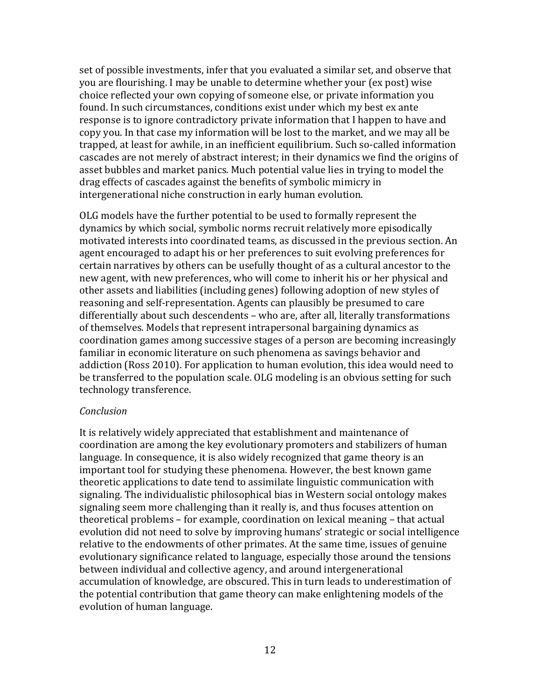set of possible investments, infer that you evaluated a similar set, and observe that you are flourishing. I may be unable to determine whether your (ex post) wise choice reflected your own copying of someone else, or private information you found. In such circumstances, conditions exist under which my best ex ante response is to ignore contradictory private information that I happen to have and copy you. In that case my information will be lost to the market, and we may all be trapped, at least for awhile, in an inefficient equilibrium. Such so‐called information cascades are not merely of abstract interest; in their dynamics we find the origins of asset bubbles and market panics. Much potential value lies in trying to model the drag effects of cascades against the benefits of symbolic mimicry in intergenerational niche construction in early human evolution.

OLG models have the further potential to be used to formally represent the dynamics by which social, symbolic norms recruit relatively more episodically motivated interests into coordinated teams, as discussed in the previous section. An agent encouraged to adapt his or her preferences to suit evolving preferences for certain narratives by others can be usefully thought of as a cultural ancestor to the new agent, with new preferences, who will come to inherit his or her physical and other assets and liabilities (including genes) following adoption of new styles of reasoning and self‐representation. Agents can plausibly be presumed to care differentially about such descendents – who are, after all, literally transformations of themselves. Models that represent intrapersonal bargaining dynamics as coordination games among successive stages of a person are becoming increasingly familiar in economic literature on such phenomena as savings behavior and addiction (Ross 2010). For application to human evolution, this idea would need to be transferred to the population scale. OLG modeling is an obvious setting for such technology transference.

### *Conclusion*

It is relatively widely appreciated that establishment and maintenance of coordination are among the key evolutionary promoters and stabilizers of human language. In consequence, it is also widely recognized that game theory is an important tool for studying these phenomena. However, the best known game theoretic applications to date tend to assimilate linguistic communication with signaling. The individualistic philosophical bias in Western social ontology makes signaling seem more challenging than it really is, and thus focuses attention on theoretical problems – for example, coordination on lexical meaning – that actual evolution did not need to solve by improving humans' strategic or social intelligence relative to the endowments of other primates. At the same time, issues of genuine evolutionary significance related to language, especially those around the tensions between individual and collective agency, and around intergenerational accumulation of knowledge, are obscured. This in turn leads to underestimation of the potential contribution that game theory can make enlightening models of the evolution of human language.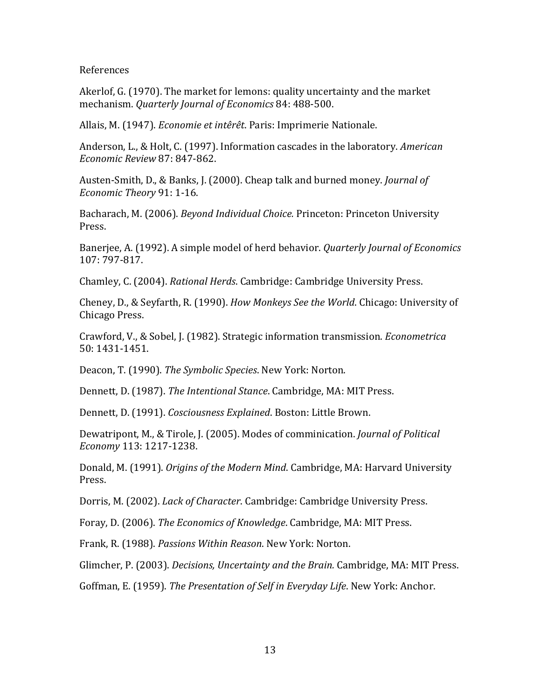References

Akerlof, G. (1970). The market for lemons: quality uncertainty and the market mechanism. *Quarterly Journal of Economics* 84: 488‐500.

Allais, M. (1947). *Economie et intêrêt*. Paris: Imprimerie Nationale.

Anderson, L., & Holt, C. (1997). Information cascades in the laboratory. *American Economic Review* 87: 847‐862.

Austen‐Smith, D., & Banks, J. (2000). Cheap talk and burned money. *Journal of Economic Theory* 91: 1‐16.

Bacharach, M. (2006). *Beyond Individual Choice.* Princeton: Princeton University Press.

Banerjee, A. (1992). A simple model of herd behavior. *Quarterly Journal of Economics* 107: 797‐817.

Chamley, C. (2004). *Rational Herds*. Cambridge: Cambridge University Press.

Cheney, D., & Seyfarth, R. (1990). *How Monkeys See the World*. Chicago: University of Chicago Press.

Crawford, V., & Sobel, J. (1982). Strategic information transmission. *Econometrica* 50: 1431‐1451.

Deacon, T. (1990). *The Symbolic Species*. New York: Norton.

Dennett, D. (1987). *The Intentional Stance*. Cambridge, MA: MIT Press.

Dennett, D. (1991). *Cosciousness Explained*. Boston: Little Brown.

Dewatripont, M., & Tirole, J. (2005). Modes of comminication. *Journal of Political Economy* 113: 1217‐1238.

Donald, M. (1991). *Origins of the Modern Mind*. Cambridge, MA: Harvard University Press.

Dorris, M. (2002). *Lack of Character*. Cambridge: Cambridge University Press.

Foray, D. (2006). *The Economics of Knowledge*. Cambridge, MA: MIT Press.

Frank, R. (1988). *Passions Within Reason*. New York: Norton.

Glimcher, P. (2003). *Decisions, Uncertainty and the Brain.* Cambridge, MA: MIT Press.

Goffman, E. (1959). *The Presentation of Self in Everyday Life*. New York: Anchor.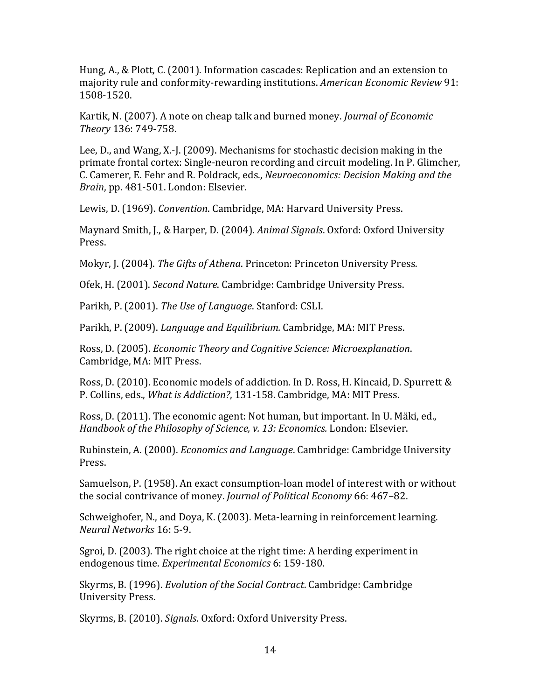Hung, A., & Plott, C. (2001). Information cascades: Replication and an extension to majority rule and conformity‐rewarding institutions. *American Economic Review* 91: 1508‐1520.

Kartik, N. (2007). A note on cheap talk and burned money. *Journal of Economic Theory* 136: 749‐758.

Lee, D., and Wang, X.‐J. (2009). Mechanisms for stochastic decision making in the primate frontal cortex: Single‐neuron recording and circuit modeling. In P. Glimcher, C. Camerer, E. Fehr and R. Poldrack, eds., *Neuroeconomics: Decision Making and the Brain*, pp. 481‐501. London: Elsevier.

Lewis, D. (1969). *Convention*. Cambridge, MA: Harvard University Press.

Maynard Smith, J., & Harper, D. (2004). *Animal Signals*. Oxford: Oxford University Press.

Mokyr, J. (2004). *The Gifts of Athena*. Princeton: Princeton University Press.

Ofek, H. (2001). *Second Nature*. Cambridge: Cambridge University Press.

Parikh, P. (2001). *The Use of Language*. Stanford: CSLI.

Parikh, P. (2009). *Language and Equilibrium.* Cambridge, MA: MIT Press.

Ross, D. (2005). *Economic Theory and Cognitive Science: Microexplanation*. Cambridge, MA: MIT Press.

Ross, D. (2010). Economic models of addiction. In D. Ross, H. Kincaid, D. Spurrett & P. Collins, eds., *What is Addiction?*, 131‐158. Cambridge, MA: MIT Press.

Ross, D. (2011). The economic agent: Not human, but important. In U. Mäki, ed., *Handbook of the Philosophy of Science, v. 13: Economics.* London: Elsevier.

Rubinstein, A. (2000). *Economics and Language*. Cambridge: Cambridge University Press.

Samuelson, P. (1958). An exact consumption‐loan model of interest with or without the social contrivance of money. *Journal of Political Economy* 66: 467–82.

Schweighofer, N., and Doya, K. (2003). Meta‐learning in reinforcement learning. *Neural Networks* 16: 5‐9.

Sgroi, D. (2003). The right choice at the right time: A herding experiment in endogenous time. *Experimental Economics* 6: 159‐180.

Skyrms, B. (1996). *Evolution of the Social Contract*. Cambridge: Cambridge University Press.

Skyrms, B. (2010). *Signals*. Oxford: Oxford University Press.